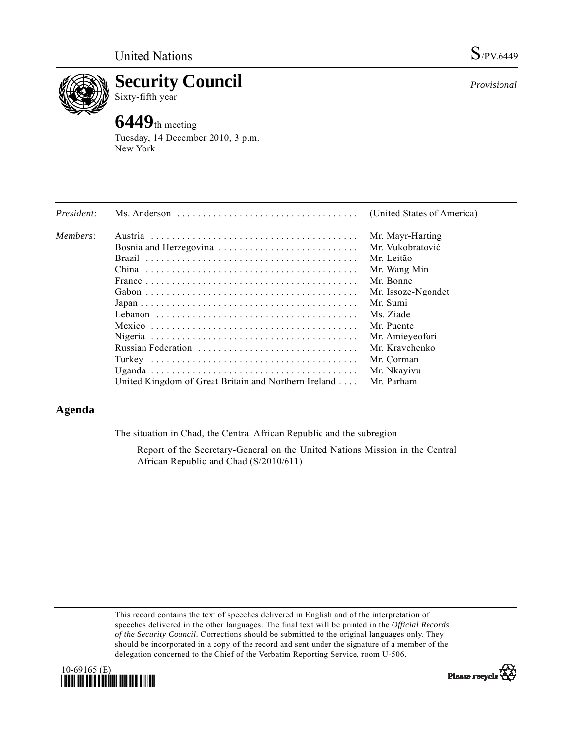

**Security Council**  Sixty-fifth year

# **6449**th meeting

Tuesday, 14 December 2010, 3 p.m. New York

| President: |                                                      | (United States of America) |
|------------|------------------------------------------------------|----------------------------|
| Members:   |                                                      | Mr. Mayr-Harting           |
|            | Bosnia and Herzegovina                               | Mr. Vukobratović           |
|            |                                                      | Mr. Leitão                 |
|            |                                                      | Mr. Wang Min               |
|            |                                                      | Mr. Bonne                  |
|            |                                                      | Mr. Issoze-Ngondet         |
|            |                                                      | Mr. Sumi                   |
|            |                                                      | Ms. Ziade                  |
|            |                                                      | Mr. Puente                 |
|            |                                                      | Mr. Amieyeofori            |
|            |                                                      | Mr. Kravchenko             |
|            |                                                      | Mr. Çorman                 |
|            |                                                      | Mr. Nkayivu                |
|            | United Kingdom of Great Britain and Northern Ireland | Mr. Parham                 |

# **Agenda**

The situation in Chad, the Central African Republic and the subregion

 Report of the Secretary-General on the United Nations Mission in the Central African Republic and Chad (S/2010/611)

This record contains the text of speeches delivered in English and of the interpretation of speeches delivered in the other languages. The final text will be printed in the *Official Records of the Security Council*. Corrections should be submitted to the original languages only. They should be incorporated in a copy of the record and sent under the signature of a member of the delegation concerned to the Chief of the Verbatim Reporting Service, room U-506.



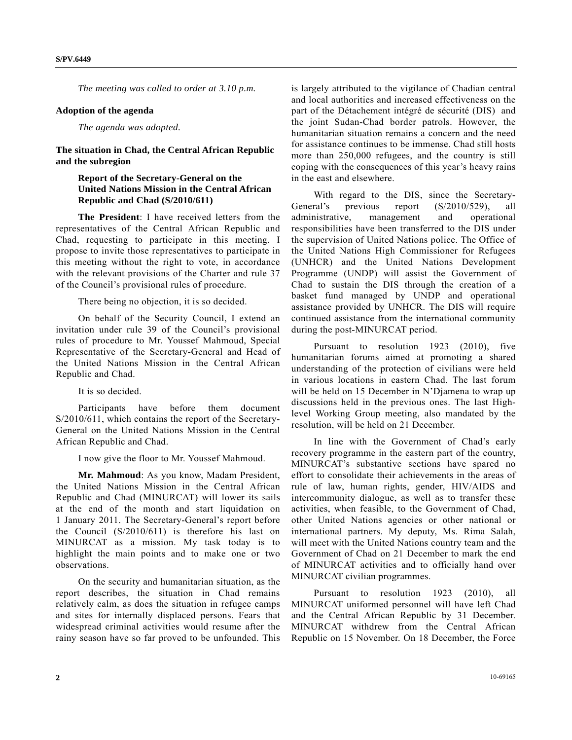*The meeting was called to order at 3.10 p.m.* 

#### **Adoption of the agenda**

*The agenda was adopted.* 

### **The situation in Chad, the Central African Republic and the subregion**

## **Report of the Secretary-General on the United Nations Mission in the Central African Republic and Chad (S/2010/611)**

 **The President**: I have received letters from the representatives of the Central African Republic and Chad, requesting to participate in this meeting. I propose to invite those representatives to participate in this meeting without the right to vote, in accordance with the relevant provisions of the Charter and rule 37 of the Council's provisional rules of procedure.

There being no objection, it is so decided.

 On behalf of the Security Council, I extend an invitation under rule 39 of the Council's provisional rules of procedure to Mr. Youssef Mahmoud, Special Representative of the Secretary-General and Head of the United Nations Mission in the Central African Republic and Chad.

It is so decided.

 Participants have before them document S/2010/611, which contains the report of the Secretary-General on the United Nations Mission in the Central African Republic and Chad.

I now give the floor to Mr. Youssef Mahmoud.

**Mr. Mahmoud**: As you know, Madam President, the United Nations Mission in the Central African Republic and Chad (MINURCAT) will lower its sails at the end of the month and start liquidation on 1 January 2011. The Secretary-General's report before the Council (S/2010/611) is therefore his last on MINURCAT as a mission. My task today is to highlight the main points and to make one or two observations.

 On the security and humanitarian situation, as the report describes, the situation in Chad remains relatively calm, as does the situation in refugee camps and sites for internally displaced persons. Fears that widespread criminal activities would resume after the rainy season have so far proved to be unfounded. This

is largely attributed to the vigilance of Chadian central and local authorities and increased effectiveness on the part of the Détachement intégré de sécurité (DIS) and the joint Sudan-Chad border patrols. However, the humanitarian situation remains a concern and the need for assistance continues to be immense. Chad still hosts more than 250,000 refugees, and the country is still coping with the consequences of this year's heavy rains in the east and elsewhere.

 With regard to the DIS, since the Secretary-General's previous report (S/2010/529), all administrative, management and operational responsibilities have been transferred to the DIS under the supervision of United Nations police. The Office of the United Nations High Commissioner for Refugees (UNHCR) and the United Nations Development Programme (UNDP) will assist the Government of Chad to sustain the DIS through the creation of a basket fund managed by UNDP and operational assistance provided by UNHCR. The DIS will require continued assistance from the international community during the post-MINURCAT period.

 Pursuant to resolution 1923 (2010), five humanitarian forums aimed at promoting a shared understanding of the protection of civilians were held in various locations in eastern Chad. The last forum will be held on 15 December in N'Djamena to wrap up discussions held in the previous ones. The last Highlevel Working Group meeting, also mandated by the resolution, will be held on 21 December.

 In line with the Government of Chad's early recovery programme in the eastern part of the country, MINURCAT's substantive sections have spared no effort to consolidate their achievements in the areas of rule of law, human rights, gender, HIV/AIDS and intercommunity dialogue, as well as to transfer these activities, when feasible, to the Government of Chad, other United Nations agencies or other national or international partners. My deputy, Ms. Rima Salah, will meet with the United Nations country team and the Government of Chad on 21 December to mark the end of MINURCAT activities and to officially hand over MINURCAT civilian programmes.

 Pursuant to resolution 1923 (2010), all MINURCAT uniformed personnel will have left Chad and the Central African Republic by 31 December. MINURCAT withdrew from the Central African Republic on 15 November. On 18 December, the Force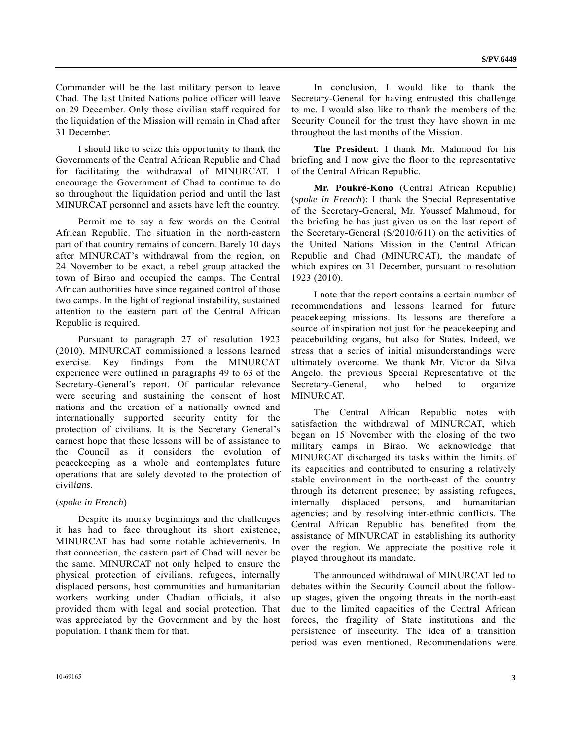Commander will be the last military person to leave Chad. The last United Nations police officer will leave on 29 December. Only those civilian staff required for the liquidation of the Mission will remain in Chad after 31 December.

 I should like to seize this opportunity to thank the Governments of the Central African Republic and Chad for facilitating the withdrawal of MINURCAT. I encourage the Government of Chad to continue to do so throughout the liquidation period and until the last MINURCAT personnel and assets have left the country.

 Permit me to say a few words on the Central African Republic. The situation in the north-eastern part of that country remains of concern. Barely 10 days after MINURCAT's withdrawal from the region, on 24 November to be exact, a rebel group attacked the town of Birao and occupied the camps. The Central African authorities have since regained control of those two camps. In the light of regional instability, sustained attention to the eastern part of the Central African Republic is required.

 Pursuant to paragraph 27 of resolution 1923 (2010), MINURCAT commissioned a lessons learned exercise. Key findings from the MINURCAT experience were outlined in paragraphs 49 to 63 of the Secretary-General's report. Of particular relevance were securing and sustaining the consent of host nations and the creation of a nationally owned and internationally supported security entity for the protection of civilians. It is the Secretary General's earnest hope that these lessons will be of assistance to the Council as it considers the evolution of peacekeeping as a whole and contemplates future operations that are solely devoted to the protection of civil*ians.* 

#### (*spoke in French*)

 Despite its murky beginnings and the challenges it has had to face throughout its short existence, MINURCAT has had some notable achievements. In that connection, the eastern part of Chad will never be the same. MINURCAT not only helped to ensure the physical protection of civilians, refugees, internally displaced persons, host communities and humanitarian workers working under Chadian officials, it also provided them with legal and social protection. That was appreciated by the Government and by the host population. I thank them for that.

 In conclusion, I would like to thank the Secretary-General for having entrusted this challenge to me. I would also like to thank the members of the Security Council for the trust they have shown in me throughout the last months of the Mission.

**The President**: I thank Mr. Mahmoud for his briefing and I now give the floor to the representative of the Central African Republic.

**Mr. Poukré-Kono** (Central African Republic) (*spoke in French*): I thank the Special Representative of the Secretary-General, Mr. Youssef Mahmoud, for the briefing he has just given us on the last report of the Secretary-General (S/2010/611) on the activities of the United Nations Mission in the Central African Republic and Chad (MINURCAT), the mandate of which expires on 31 December, pursuant to resolution 1923 (2010).

 I note that the report contains a certain number of recommendations and lessons learned for future peacekeeping missions. Its lessons are therefore a source of inspiration not just for the peacekeeping and peacebuilding organs, but also for States. Indeed, we stress that a series of initial misunderstandings were ultimately overcome. We thank Mr. Victor da Silva Angelo, the previous Special Representative of the Secretary-General, who helped to organize MINURCAT.

 The Central African Republic notes with satisfaction the withdrawal of MINURCAT, which began on 15 November with the closing of the two military camps in Birao. We acknowledge that MINURCAT discharged its tasks within the limits of its capacities and contributed to ensuring a relatively stable environment in the north-east of the country through its deterrent presence; by assisting refugees, internally displaced persons, and humanitarian agencies; and by resolving inter-ethnic conflicts. The Central African Republic has benefited from the assistance of MINURCAT in establishing its authority over the region. We appreciate the positive role it played throughout its mandate.

 The announced withdrawal of MINURCAT led to debates within the Security Council about the followup stages, given the ongoing threats in the north-east due to the limited capacities of the Central African forces, the fragility of State institutions and the persistence of insecurity. The idea of a transition period was even mentioned. Recommendations were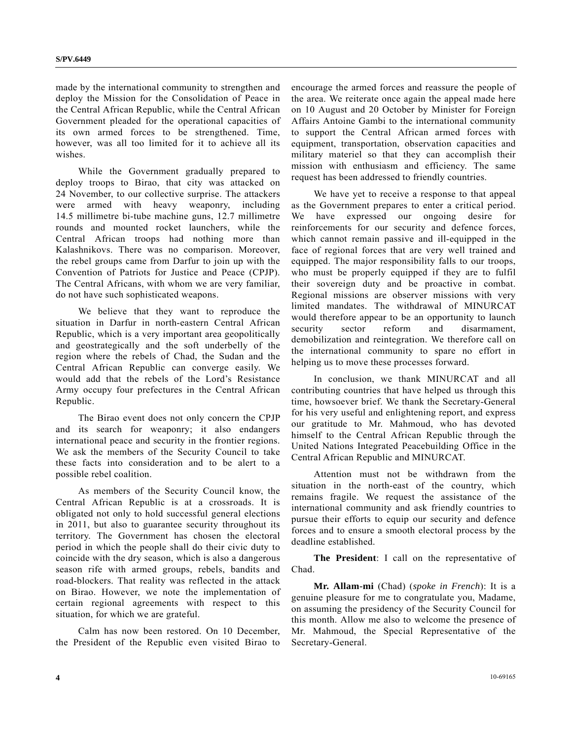made by the international community to strengthen and deploy the Mission for the Consolidation of Peace in the Central African Republic, while the Central African Government pleaded for the operational capacities of its own armed forces to be strengthened. Time, however, was all too limited for it to achieve all its wishes.

 While the Government gradually prepared to deploy troops to Birao, that city was attacked on 24 November, to our collective surprise. The attackers were armed with heavy weaponry, including 14.5 millimetre bi-tube machine guns, 12.7 millimetre rounds and mounted rocket launchers, while the Central African troops had nothing more than Kalashnikovs. There was no comparison. Moreover, the rebel groups came from Darfur to join up with the Convention of Patriots for Justice and Peace (CPJP). The Central Africans, with whom we are very familiar, do not have such sophisticated weapons.

 We believe that they want to reproduce the situation in Darfur in north-eastern Central African Republic, which is a very important area geopolitically and geostrategically and the soft underbelly of the region where the rebels of Chad, the Sudan and the Central African Republic can converge easily. We would add that the rebels of the Lord's Resistance Army occupy four prefectures in the Central African Republic.

 The Birao event does not only concern the CPJP and its search for weaponry; it also endangers international peace and security in the frontier regions. We ask the members of the Security Council to take these facts into consideration and to be alert to a possible rebel coalition.

 As members of the Security Council know, the Central African Republic is at a crossroads. It is obligated not only to hold successful general elections in 2011, but also to guarantee security throughout its territory. The Government has chosen the electoral period in which the people shall do their civic duty to coincide with the dry season, which is also a dangerous season rife with armed groups, rebels, bandits and road-blockers. That reality was reflected in the attack on Birao. However, we note the implementation of certain regional agreements with respect to this situation, for which we are grateful.

 Calm has now been restored. On 10 December, the President of the Republic even visited Birao to

encourage the armed forces and reassure the people of the area. We reiterate once again the appeal made here on 10 August and 20 October by Minister for Foreign Affairs Antoine Gambi to the international community to support the Central African armed forces with equipment, transportation, observation capacities and military materiel so that they can accomplish their mission with enthusiasm and efficiency. The same request has been addressed to friendly countries.

 We have yet to receive a response to that appeal as the Government prepares to enter a critical period. We have expressed our ongoing desire for reinforcements for our security and defence forces, which cannot remain passive and ill-equipped in the face of regional forces that are very well trained and equipped. The major responsibility falls to our troops, who must be properly equipped if they are to fulfil their sovereign duty and be proactive in combat. Regional missions are observer missions with very limited mandates. The withdrawal of MINURCAT would therefore appear to be an opportunity to launch security sector reform and disarmament. demobilization and reintegration. We therefore call on the international community to spare no effort in helping us to move these processes forward.

 In conclusion, we thank MINURCAT and all contributing countries that have helped us through this time, howsoever brief. We thank the Secretary-General for his very useful and enlightening report, and express our gratitude to Mr. Mahmoud, who has devoted himself to the Central African Republic through the United Nations Integrated Peacebuilding Office in the Central African Republic and MINURCAT.

 Attention must not be withdrawn from the situation in the north-east of the country, which remains fragile. We request the assistance of the international community and ask friendly countries to pursue their efforts to equip our security and defence forces and to ensure a smooth electoral process by the deadline established.

**The President**: I call on the representative of Chad.

**Mr. Allam-mi** (Chad) (*spoke in French*): It is a genuine pleasure for me to congratulate you, Madame, on assuming the presidency of the Security Council for this month. Allow me also to welcome the presence of Mr. Mahmoud, the Special Representative of the Secretary-General.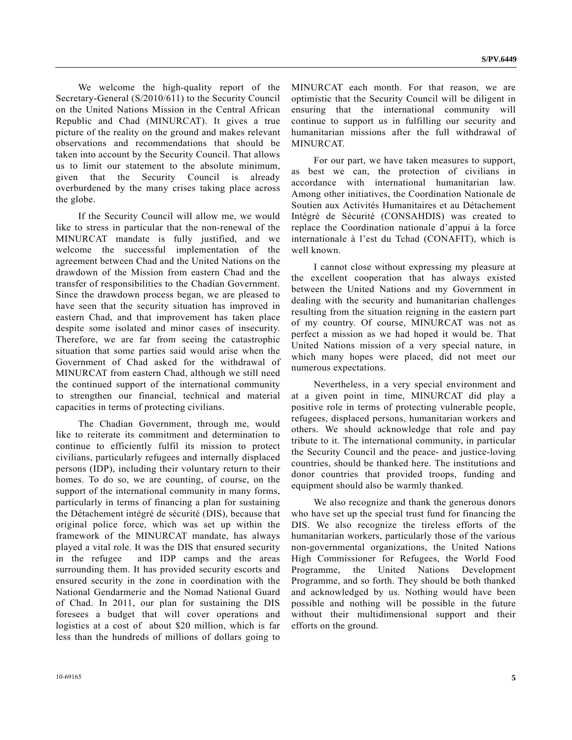We welcome the high-quality report of the Secretary-General (S/2010/611) to the Security Council on the United Nations Mission in the Central African Republic and Chad (MINURCAT). It gives a true picture of the reality on the ground and makes relevant observations and recommendations that should be taken into account by the Security Council. That allows us to limit our statement to the absolute minimum, given that the Security Council is already overburdened by the many crises taking place across the globe.

 If the Security Council will allow me, we would like to stress in particular that the non-renewal of the MINURCAT mandate is fully justified, and we welcome the successful implementation of the agreement between Chad and the United Nations on the drawdown of the Mission from eastern Chad and the transfer of responsibilities to the Chadian Government. Since the drawdown process began, we are pleased to have seen that the security situation has improved in eastern Chad, and that improvement has taken place despite some isolated and minor cases of insecurity. Therefore, we are far from seeing the catastrophic situation that some parties said would arise when the Government of Chad asked for the withdrawal of MINURCAT from eastern Chad, although we still need the continued support of the international community to strengthen our financial, technical and material capacities in terms of protecting civilians.

 The Chadian Government, through me, would like to reiterate its commitment and determination to continue to efficiently fulfil its mission to protect civilians, particularly refugees and internally displaced persons (IDP), including their voluntary return to their homes. To do so, we are counting, of course, on the support of the international community in many forms, particularly in terms of financing a plan for sustaining the Détachement intégré de sécurité (DIS), because that original police force, which was set up within the framework of the MINURCAT mandate, has always played a vital role. It was the DIS that ensured security in the refugee and IDP camps and the areas surrounding them. It has provided security escorts and ensured security in the zone in coordination with the National Gendarmerie and the Nomad National Guard of Chad. In 2011, our plan for sustaining the DIS foresees a budget that will cover operations and logistics at a cost of about \$20 million, which is far less than the hundreds of millions of dollars going to

MINURCAT each month. For that reason, we are optimistic that the Security Council will be diligent in ensuring that the international community will continue to support us in fulfilling our security and humanitarian missions after the full withdrawal of MINURCAT.

 For our part, we have taken measures to support, as best we can, the protection of civilians in accordance with international humanitarian law. Among other initiatives, the Coordination Nationale de Soutien aux Activités Humanitaires et au Détachement Intégré de Sécurité (CONSAHDIS) was created to replace the Coordination nationale d'appui à la force internationale à l'est du Tchad (CONAFIT), which is well known.

 I cannot close without expressing my pleasure at the excellent cooperation that has always existed between the United Nations and my Government in dealing with the security and humanitarian challenges resulting from the situation reigning in the eastern part of my country. Of course, MINURCAT was not as perfect a mission as we had hoped it would be. That United Nations mission of a very special nature, in which many hopes were placed, did not meet our numerous expectations.

 Nevertheless, in a very special environment and at a given point in time, MINURCAT did play a positive role in terms of protecting vulnerable people, refugees, displaced persons, humanitarian workers and others. We should acknowledge that role and pay tribute to it. The international community, in particular the Security Council and the peace- and justice-loving countries, should be thanked here. The institutions and donor countries that provided troops, funding and equipment should also be warmly thanked.

 We also recognize and thank the generous donors who have set up the special trust fund for financing the DIS. We also recognize the tireless efforts of the humanitarian workers, particularly those of the various non-governmental organizations, the United Nations High Commissioner for Refugees, the World Food Programme, the United Nations Development Programme, and so forth. They should be both thanked and acknowledged by us. Nothing would have been possible and nothing will be possible in the future without their multidimensional support and their efforts on the ground.